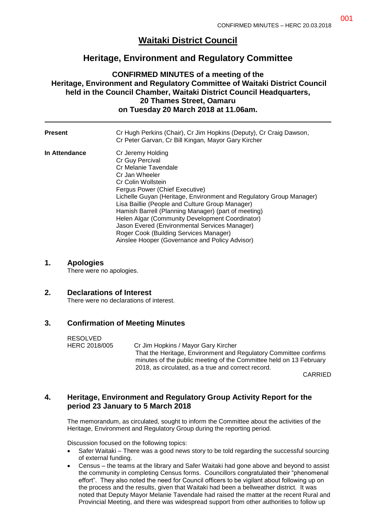# **Waitaki District Council**

# **Heritage, Environment and Regulatory Committee**

# **CONFIRMED MINUTES of a meeting of the Heritage, Environment and Regulatory Committee of Waitaki District Council held in the Council Chamber, Waitaki District Council Headquarters, 20 Thames Street, Oamaru on Tuesday 20 March 2018 at 11.06am.**

| Present       | Cr Hugh Perkins (Chair), Cr Jim Hopkins (Deputy), Cr Craig Dawson,<br>Cr Peter Garvan, Cr Bill Kingan, Mayor Gary Kircher                                                                                                                                                                                                                                                                                                                                                                                               |
|---------------|-------------------------------------------------------------------------------------------------------------------------------------------------------------------------------------------------------------------------------------------------------------------------------------------------------------------------------------------------------------------------------------------------------------------------------------------------------------------------------------------------------------------------|
| In Attendance | Cr Jeremy Holding<br>Cr Guy Percival<br>Cr Melanie Tavendale<br>Cr Jan Wheeler<br>Cr Colin Wollstein<br>Fergus Power (Chief Executive)<br>Lichelle Guyan (Heritage, Environment and Regulatory Group Manager)<br>Lisa Baillie (People and Culture Group Manager)<br>Hamish Barrell (Planning Manager) (part of meeting)<br>Helen Algar (Community Development Coordinator)<br>Jason Evered (Environmental Services Manager)<br>Roger Cook (Building Services Manager)<br>Ainslee Hooper (Governance and Policy Advisor) |

#### **1. Apologies**

There were no apologies.

# **2. Declarations of Interest**

There were no declarations of interest.

# **3. Confirmation of Meeting Minutes**

RESOLVED HERC 2018/005 Cr Jim Hopkins / Mayor Gary Kircher That the Heritage, Environment and Regulatory Committee confirms minutes of the public meeting of the Committee held on 13 February 2018, as circulated, as a true and correct record.

CARRIED

# **4. Heritage, Environment and Regulatory Group Activity Report for the period 23 January to 5 March 2018**

The memorandum, as circulated, sought to inform the Committee about the activities of the Heritage, Environment and Regulatory Group during the reporting period.

Discussion focused on the following topics:

- Safer Waitaki There was a good news story to be told regarding the successful sourcing of external funding.
- Census the teams at the library and Safer Waitaki had gone above and beyond to assist the community in completing Census forms. Councillors congratulated their "phenomenal effort". They also noted the need for Council officers to be vigilant about following up on the process and the results, given that Waitaki had been a bellweather district. It was noted that Deputy Mayor Melanie Tavendale had raised the matter at the recent Rural and Provincial Meeting, and there was widespread support from other authorities to follow up